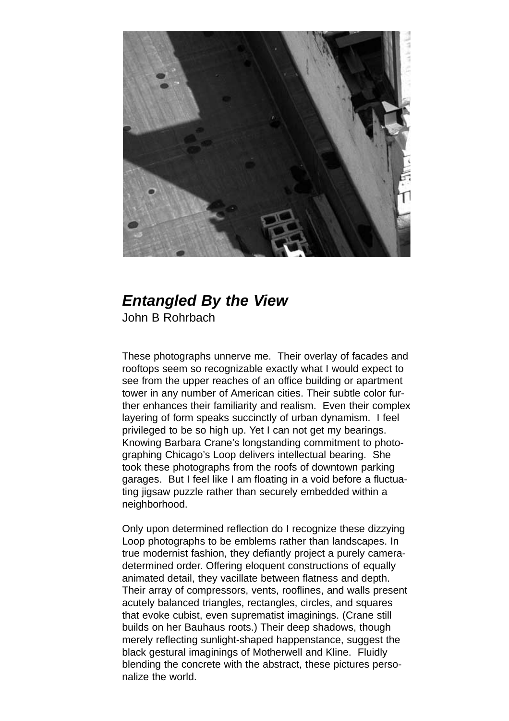

## *Entangled By the View* John B Rohrbach

These photographs unnerve me. Their overlay of facades and rooftops seem so recognizable exactly what I would expect to see from the upper reaches of an office building or apartment tower in any number of American cities. Their subtle color further enhances their familiarity and realism. Even their complex layering of form speaks succinctly of urban dynamism. I feel privileged to be so high up. Yet I can not get my bearings. Knowing Barbara Crane's longstanding commitment to photographing Chicago's Loop delivers intellectual bearing. She took these photographs from the roofs of downtown parking garages. But I feel like I am floating in a void before a fluctuating jigsaw puzzle rather than securely embedded within a neighborhood.

Only upon determined reflection do I recognize these dizzying Loop photographs to be emblems rather than landscapes. In true modernist fashion, they defiantly project a purely cameradetermined order. Offering eloquent constructions of equally animated detail, they vacillate between flatness and depth. Their array of compressors, vents, rooflines, and walls present acutely balanced triangles, rectangles, circles, and squares that evoke cubist, even suprematist imaginings. (Crane still builds on her Bauhaus roots.) Their deep shadows, though merely reflecting sunlight-shaped happenstance, suggest the black gestural imaginings of Motherwell and Kline. Fluidly blending the concrete with the abstract, these pictures personalize the world.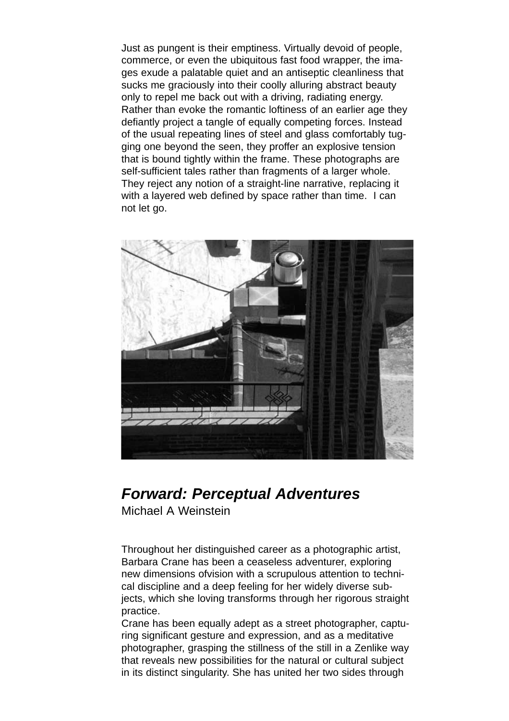Just as pungent is their emptiness. Virtually devoid of people, commerce, or even the ubiquitous fast food wrapper, the images exude a palatable quiet and an antiseptic cleanliness that sucks me graciously into their coolly alluring abstract beauty only to repel me back out with a driving, radiating energy. Rather than evoke the romantic loftiness of an earlier age they defiantly project a tangle of equally competing forces. Instead of the usual repeating lines of steel and glass comfortably tugging one beyond the seen, they proffer an explosive tension that is bound tightly within the frame. These photographs are self-sufficient tales rather than fragments of a larger whole. They reject any notion of a straight-line narrative, replacing it with a layered web defined by space rather than time. I can not let go.



## *Forward: Perceptual Adventures*

Michael A Weinstein

Throughout her distinguished career as a photographic artist, Barbara Crane has been a ceaseless adventurer, exploring new dimensions ofvision with a scrupulous attention to technical discipline and a deep feeling for her widely diverse subjects, which she loving transforms through her rigorous straight practice.

Crane has been equally adept as a street photographer, capturing significant gesture and expression, and as a meditative photographer, grasping the stillness of the still in a Zenlike way that reveals new possibilities for the natural or cultural subject in its distinct singularity. She has united her two sides through